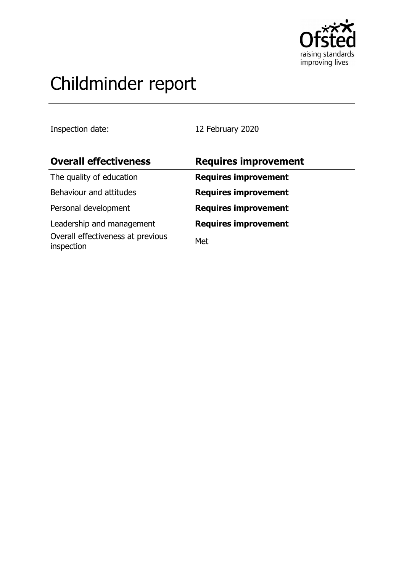

# Childminder report

Inspection date: 12 February 2020

| <b>Overall effectiveness</b>                    | <b>Requires improvement</b> |
|-------------------------------------------------|-----------------------------|
| The quality of education                        | <b>Requires improvement</b> |
| Behaviour and attitudes                         | <b>Requires improvement</b> |
| Personal development                            | <b>Requires improvement</b> |
| Leadership and management                       | <b>Requires improvement</b> |
| Overall effectiveness at previous<br>inspection | Met                         |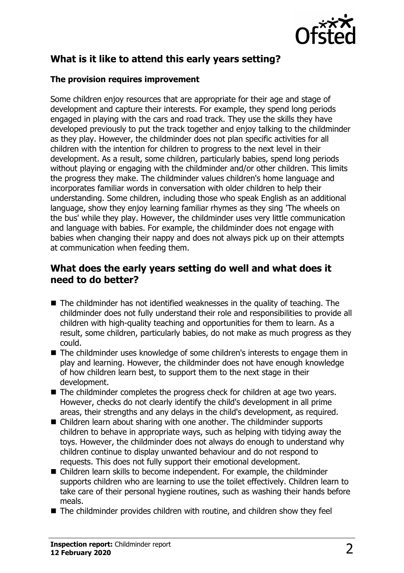

# **What is it like to attend this early years setting?**

#### **The provision requires improvement**

Some children enjoy resources that are appropriate for their age and stage of development and capture their interests. For example, they spend long periods engaged in playing with the cars and road track. They use the skills they have developed previously to put the track together and enjoy talking to the childminder as they play. However, the childminder does not plan specific activities for all children with the intention for children to progress to the next level in their development. As a result, some children, particularly babies, spend long periods without playing or engaging with the childminder and/or other children. This limits the progress they make. The childminder values children's home language and incorporates familiar words in conversation with older children to help their understanding. Some children, including those who speak English as an additional language, show they enjoy learning familiar rhymes as they sing 'The wheels on the bus' while they play. However, the childminder uses very little communication and language with babies. For example, the childminder does not engage with babies when changing their nappy and does not always pick up on their attempts at communication when feeding them.

## **What does the early years setting do well and what does it need to do better?**

- $\blacksquare$  The childminder has not identified weaknesses in the quality of teaching. The childminder does not fully understand their role and responsibilities to provide all children with high-quality teaching and opportunities for them to learn. As a result, some children, particularly babies, do not make as much progress as they could.
- The childminder uses knowledge of some children's interests to engage them in play and learning. However, the childminder does not have enough knowledge of how children learn best, to support them to the next stage in their development.
- $\blacksquare$  The childminder completes the progress check for children at age two years. However, checks do not clearly identify the child's development in all prime areas, their strengths and any delays in the child's development, as required.
- $\blacksquare$  Children learn about sharing with one another. The childminder supports children to behave in appropriate ways, such as helping with tidying away the toys. However, the childminder does not always do enough to understand why children continue to display unwanted behaviour and do not respond to requests. This does not fully support their emotional development.
- $\blacksquare$  Children learn skills to become independent. For example, the childminder supports children who are learning to use the toilet effectively. Children learn to take care of their personal hygiene routines, such as washing their hands before meals.
- $\blacksquare$  The childminder provides children with routine, and children show they feel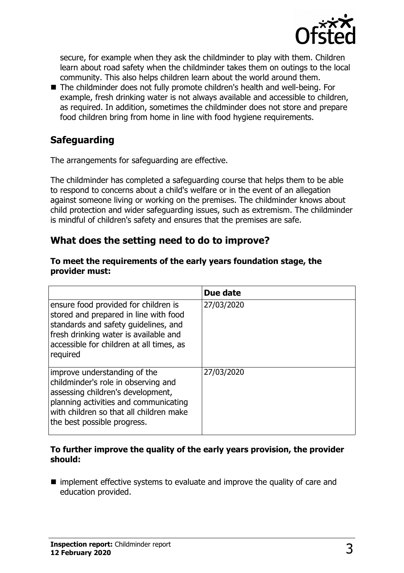

secure, for example when they ask the childminder to play with them. Children learn about road safety when the childminder takes them on outings to the local community. This also helps children learn about the world around them.

■ The childminder does not fully promote children's health and well-being. For example, fresh drinking water is not always available and accessible to children, as required. In addition, sometimes the childminder does not store and prepare food children bring from home in line with food hygiene requirements.

# **Safeguarding**

The arrangements for safeguarding are effective.

The childminder has completed a safeguarding course that helps them to be able to respond to concerns about a child's welfare or in the event of an allegation against someone living or working on the premises. The childminder knows about child protection and wider safeguarding issues, such as extremism. The childminder is mindful of children's safety and ensures that the premises are safe.

## **What does the setting need to do to improve?**

|                                                                                                                                                                                                                             | Due date   |
|-----------------------------------------------------------------------------------------------------------------------------------------------------------------------------------------------------------------------------|------------|
| ensure food provided for children is<br>stored and prepared in line with food<br>standards and safety guidelines, and<br>fresh drinking water is available and<br>accessible for children at all times, as<br>required      | 27/03/2020 |
| improve understanding of the<br>childminder's role in observing and<br>assessing children's development,<br>planning activities and communicating<br>with children so that all children make<br>the best possible progress. | 27/03/2020 |

#### **To meet the requirements of the early years foundation stage, the provider must:**

#### **To further improve the quality of the early years provision, the provider should:**

 $\blacksquare$  implement effective systems to evaluate and improve the quality of care and education provided.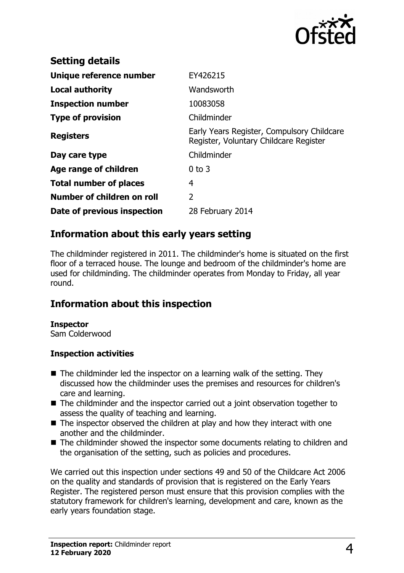

| <b>Setting details</b>        |                                                                                      |
|-------------------------------|--------------------------------------------------------------------------------------|
| Unique reference number       | EY426215                                                                             |
| Local authority               | Wandsworth                                                                           |
| <b>Inspection number</b>      | 10083058                                                                             |
| <b>Type of provision</b>      | Childminder                                                                          |
| <b>Registers</b>              | Early Years Register, Compulsory Childcare<br>Register, Voluntary Childcare Register |
| Day care type                 | Childminder                                                                          |
| Age range of children         | $0$ to $3$                                                                           |
| <b>Total number of places</b> | 4                                                                                    |
| Number of children on roll    | $\overline{2}$                                                                       |
| Date of previous inspection   | 28 February 2014                                                                     |

## **Information about this early years setting**

The childminder registered in 2011. The childminder's home is situated on the first floor of a terraced house. The lounge and bedroom of the childminder's home are used for childminding. The childminder operates from Monday to Friday, all year round.

# **Information about this inspection**

#### **Inspector**

Sam Colderwood

#### **Inspection activities**

- $\blacksquare$  The childminder led the inspector on a learning walk of the setting. They discussed how the childminder uses the premises and resources for children's care and learning.
- $\blacksquare$  The childminder and the inspector carried out a joint observation together to assess the quality of teaching and learning.
- $\blacksquare$  The inspector observed the children at play and how they interact with one another and the childminder.
- The childminder showed the inspector some documents relating to children and the organisation of the setting, such as policies and procedures.

We carried out this inspection under sections 49 and 50 of the Childcare Act 2006 on the quality and standards of provision that is registered on the Early Years Register. The registered person must ensure that this provision complies with the statutory framework for children's learning, development and care, known as the early years foundation stage.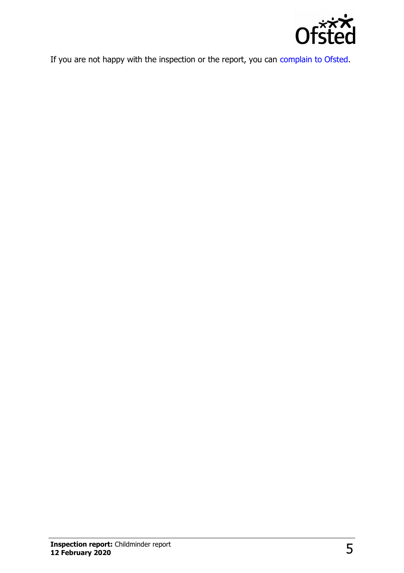

If you are not happy with the inspection or the report, you can [complain to Ofsted.](http://www.gov.uk/complain-ofsted-report)